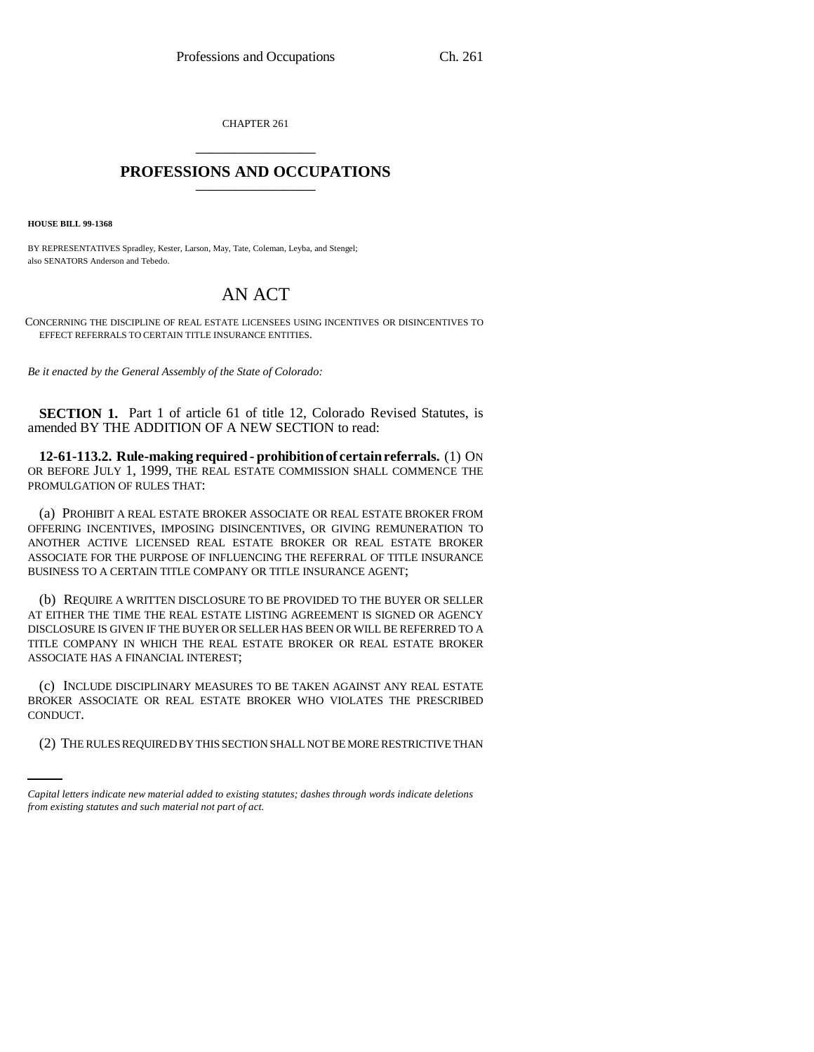CHAPTER 261 \_\_\_\_\_\_\_\_\_\_\_\_\_\_\_

## **PROFESSIONS AND OCCUPATIONS** \_\_\_\_\_\_\_\_\_\_\_\_\_\_\_

**HOUSE BILL 99-1368** 

BY REPRESENTATIVES Spradley, Kester, Larson, May, Tate, Coleman, Leyba, and Stengel; also SENATORS Anderson and Tebedo.

## AN ACT

CONCERNING THE DISCIPLINE OF REAL ESTATE LICENSEES USING INCENTIVES OR DISINCENTIVES TO EFFECT REFERRALS TO CERTAIN TITLE INSURANCE ENTITIES.

*Be it enacted by the General Assembly of the State of Colorado:*

**SECTION 1.** Part 1 of article 61 of title 12, Colorado Revised Statutes, is amended BY THE ADDITION OF A NEW SECTION to read:

**12-61-113.2. Rule-making required - prohibition of certain referrals.** (1) ON OR BEFORE JULY 1, 1999, THE REAL ESTATE COMMISSION SHALL COMMENCE THE PROMULGATION OF RULES THAT:

(a) PROHIBIT A REAL ESTATE BROKER ASSOCIATE OR REAL ESTATE BROKER FROM OFFERING INCENTIVES, IMPOSING DISINCENTIVES, OR GIVING REMUNERATION TO ANOTHER ACTIVE LICENSED REAL ESTATE BROKER OR REAL ESTATE BROKER ASSOCIATE FOR THE PURPOSE OF INFLUENCING THE REFERRAL OF TITLE INSURANCE BUSINESS TO A CERTAIN TITLE COMPANY OR TITLE INSURANCE AGENT;

(b) REQUIRE A WRITTEN DISCLOSURE TO BE PROVIDED TO THE BUYER OR SELLER AT EITHER THE TIME THE REAL ESTATE LISTING AGREEMENT IS SIGNED OR AGENCY DISCLOSURE IS GIVEN IF THE BUYER OR SELLER HAS BEEN OR WILL BE REFERRED TO A TITLE COMPANY IN WHICH THE REAL ESTATE BROKER OR REAL ESTATE BROKER ASSOCIATE HAS A FINANCIAL INTEREST;

CONDUCT. (c) INCLUDE DISCIPLINARY MEASURES TO BE TAKEN AGAINST ANY REAL ESTATE BROKER ASSOCIATE OR REAL ESTATE BROKER WHO VIOLATES THE PRESCRIBED

(2) THE RULES REQUIRED BY THIS SECTION SHALL NOT BE MORE RESTRICTIVE THAN

*Capital letters indicate new material added to existing statutes; dashes through words indicate deletions from existing statutes and such material not part of act.*